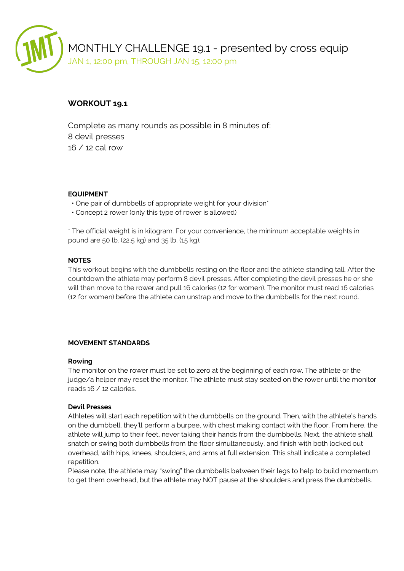

# **WORKOUT 19.1**

Complete as many rounds as possible in 8 minutes of: 8 devil presses 16 / 12 cal row

# **EQUIPMENT**

- One pair of dumbbells of appropriate weight for your division\*
- Concept 2 rower (only this type of rower is allowed)

\* The official weight is in kilogram. For your convenience, the minimum acceptable weights in pound are 50 lb. (22.5 kg) and 35 lb. (15 kg).

# **NOTES**

This workout begins with the dumbbells resting on the floor and the athlete standing tall. After the countdown the athlete may perform 8 devil presses. After completing the devil presses he or she will then move to the rower and pull 16 calories (12 for women). The monitor must read 16 calories (12 for women) before the athlete can unstrap and move to the dumbbells for the next round.

# **MOVEMENT STANDARDS**

#### **Rowing**

The monitor on the rower must be set to zero at the beginning of each row. The athlete or the judge/a helper may reset the monitor. The athlete must stay seated on the rower until the monitor reads 16 / 12 calories.

#### **Devil Presses**

Athletes will start each repetition with the dumbbells on the ground. Then, with the athlete's hands on the dumbbell, they'll perform a burpee, with chest making contact with the floor. From here, the athlete will jump to their feet, never taking their hands from the dumbbells. Next, the athlete shall snatch or swing both dumbbells from the floor simultaneously, and finish with both locked out overhead, with hips, knees, shoulders, and arms at full extension. This shall indicate a completed repetition.

Please note, the athlete may "swing" the dumbbells between their legs to help to build momentum to get them overhead, but the athlete may NOT pause at the shoulders and press the dumbbells.